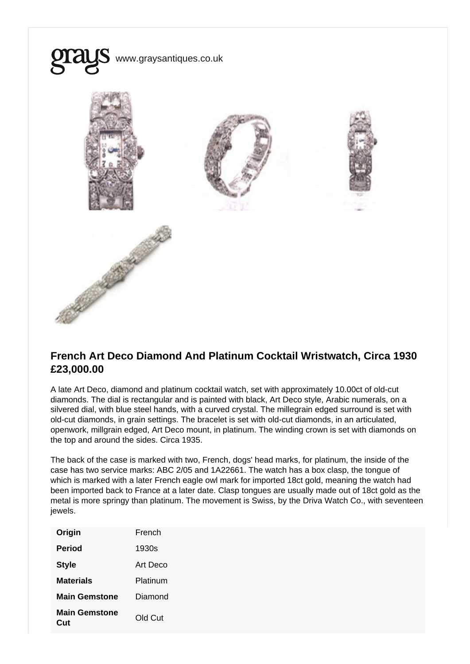

## French Art Deco Diamond And Platinum Cocktail Wristwatch, Circa 1930 £23,000.00

A late Art Deco, diamond and platinum cocktail watch, set with approximately 10.00ct of old-cut diamonds. The dial is rectangular and is painted with black, Art Deco style, Arabic numerals, on a silvered dial, with blue steel hands, with a curved crystal. The millegrain edged surround is set with old-cut diamonds, in grain settings. The bracelet is set with old-cut diamonds, in an articulated, openwork, millgrain edged, Art Deco mount, in platinum. The winding crown is set with diamonds on the top and around the sides. Circa 1935.

The back of the case is marked with two, French, dogs' head marks, for platinum, the inside of the case has two service marks: ABC 2/05 and 1A22661. The watch has a box clasp, the tongue of which is marked with a later French eagle owl mark for imported 18ct gold, meaning the watch had been imported back to France at a later date. Clasp tongues are usually made out of 18ct gold as the metal is more springy than platinum. The movement is Swiss, by the Driva Watch Co., with seventeen jewels.

| Origin               | French   |
|----------------------|----------|
| Period               | 1930s    |
| <b>Style</b>         | Art Deco |
| Materials            | Platinum |
| Main Gemstone        | Diamond  |
| Main Gemstone<br>Cut | Old Cut  |